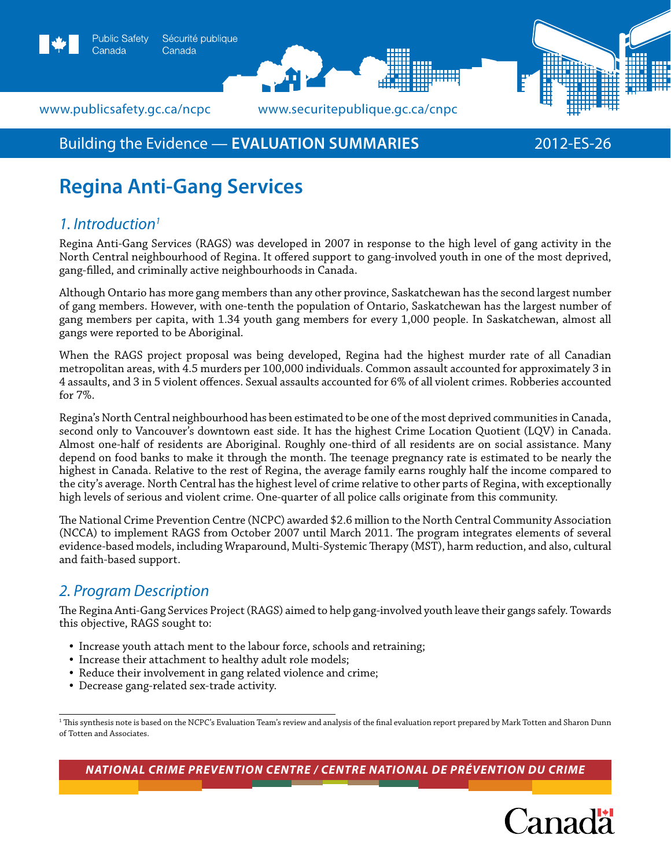



www.publicsafety.gc.ca/ncpc *www.securitepublique.gc.ca/cnpc* 

Canada

# Building the Evidence — **EVALUATION SUMMARIES** 2012-ES-26

# **Regina Anti-Gang Services**

# *1. Introduction1*

Regina Anti-Gang Services (RAGS) was developed in 2007 in response to the high level of gang activity in the North Central neighbourhood of Regina. It offered support to gang-involved youth in one of the most deprived, gang-filled, and criminally active neighbourhoods in Canada.

Although Ontario has more gang members than any other province, Saskatchewan has the second largest number of gang members. However, with one-tenth the population of Ontario, Saskatchewan has the largest number of gang members per capita, with 1.34 youth gang members for every 1,000 people. In Saskatchewan, almost all gangs were reported to be Aboriginal.

When the RAGS project proposal was being developed, Regina had the highest murder rate of all Canadian metropolitan areas, with 4.5 murders per 100,000 individuals. Common assault accounted for approximately 3 in 4 assaults, and 3 in 5 violent offences. Sexual assaults accounted for 6% of all violent crimes. Robberies accounted for 7%.

Regina's North Central neighbourhood has been estimated to be one of the most deprived communities in Canada, second only to Vancouver's downtown east side. It has the highest Crime Location Quotient (LQV) in Canada. Almost one-half of residents are Aboriginal. Roughly one-third of all residents are on social assistance. Many depend on food banks to make it through the month. The teenage pregnancy rate is estimated to be nearly the highest in Canada. Relative to the rest of Regina, the average family earns roughly half the income compared to the city's average. North Central has the highest level of crime relative to other parts of Regina, with exceptionally high levels of serious and violent crime. One-quarter of all police calls originate from this community.

The National Crime Prevention Centre (NCPC) awarded \$2.6 million to the North Central Community Association (NCCA) to implement RAGS from October 2007 until March 2011. The program integrates elements of several evidence-based models, including Wraparound, Multi-Systemic Therapy (MST), harm reduction, and also, cultural and faith-based support.

## *2. Program Description*

The Regina Anti-Gang Services Project (RAGS) aimed to help gang-involved youth leave their gangs safely. Towards this objective, RAGS sought to:

- Increase youth attach ment to the labour force, schools and retraining;
- Increase their attachment to healthy adult role models;
- Reduce their involvement in gang related violence and crime;
- Decrease gang-related sex-trade activity.

1 This synthesis note is based on the NCPC's Evaluation Team's review and analysis of the final evaluation report prepared by Mark Totten and Sharon Dunn of Totten and Associates.

*National Crime Prevention Centre / centre national de prévention du crime*

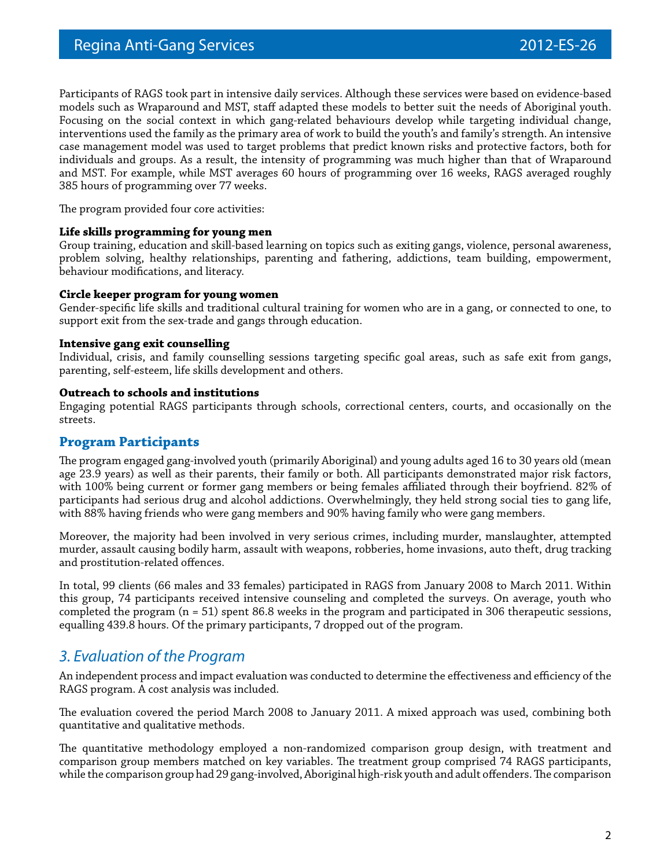Participants of RAGS took part in intensive daily services. Although these services were based on evidence-based models such as Wraparound and MST, staff adapted these models to better suit the needs of Aboriginal youth. Focusing on the social context in which gang-related behaviours develop while targeting individual change, interventions used the family as the primary area of work to build the youth's and family's strength. An intensive case management model was used to target problems that predict known risks and protective factors, both for individuals and groups. As a result, the intensity of programming was much higher than that of Wraparound and MST. For example, while MST averages 60 hours of programming over 16 weeks, RAGS averaged roughly 385 hours of programming over 77 weeks.

The program provided four core activities:

### **Life skills programming for young men**

Group training, education and skill-based learning on topics such as exiting gangs, violence, personal awareness, problem solving, healthy relationships, parenting and fathering, addictions, team building, empowerment, behaviour modifications, and literacy.

### **Circle keeper program for young women**

Gender-specific life skills and traditional cultural training for women who are in a gang, or connected to one, to support exit from the sex-trade and gangs through education.

### **Intensive gang exit counselling**

Individual, crisis, and family counselling sessions targeting specific goal areas, such as safe exit from gangs, parenting, self-esteem, life skills development and others.

### **Outreach to schools and institutions**

Engaging potential RAGS participants through schools, correctional centers, courts, and occasionally on the streets.

### **Program Participants**

The program engaged gang-involved youth (primarily Aboriginal) and young adults aged 16 to 30 years old (mean age 23.9 years) as well as their parents, their family or both. All participants demonstrated major risk factors, with 100% being current or former gang members or being females affiliated through their boyfriend. 82% of participants had serious drug and alcohol addictions. Overwhelmingly, they held strong social ties to gang life, with 88% having friends who were gang members and 90% having family who were gang members.

Moreover, the majority had been involved in very serious crimes, including murder, manslaughter, attempted murder, assault causing bodily harm, assault with weapons, robberies, home invasions, auto theft, drug tracking and prostitution-related offences.

In total, 99 clients (66 males and 33 females) participated in RAGS from January 2008 to March 2011. Within this group, 74 participants received intensive counseling and completed the surveys. On average, youth who completed the program (n = 51) spent 86.8 weeks in the program and participated in 306 therapeutic sessions, equalling 439.8 hours. Of the primary participants, 7 dropped out of the program.

### *3. Evaluation of the Program*

An independent process and impact evaluation was conducted to determine the effectiveness and efficiency of the RAGS program. A cost analysis was included.

The evaluation covered the period March 2008 to January 2011. A mixed approach was used, combining both quantitative and qualitative methods.

The quantitative methodology employed a non-randomized comparison group design, with treatment and comparison group members matched on key variables. The treatment group comprised 74 RAGS participants, while the comparison group had 29 gang-involved, Aboriginal high-risk youth and adult offenders. The comparison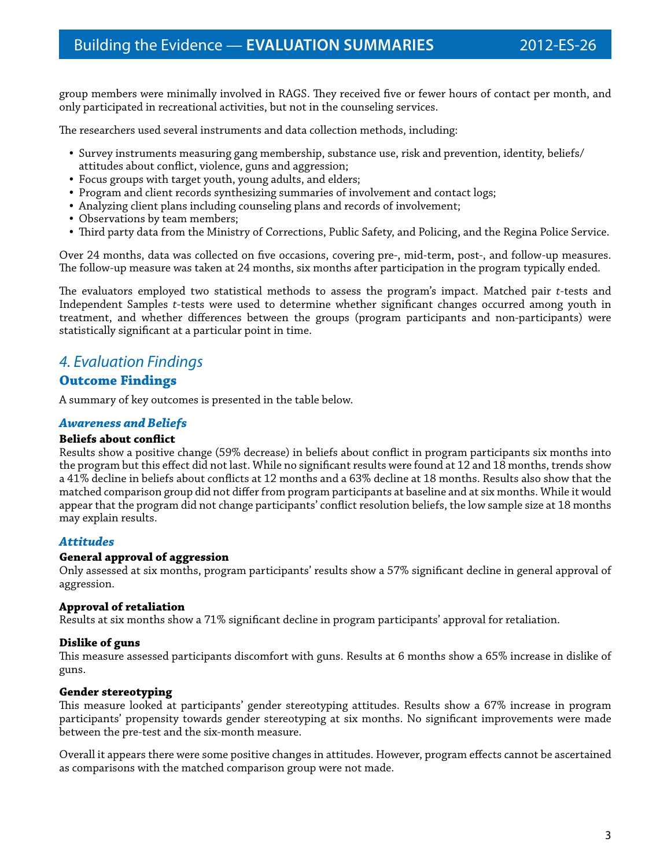group members were minimally involved in RAGS. They received five or fewer hours of contact per month, and only participated in recreational activities, but not in the counseling services.

The researchers used several instruments and data collection methods, including:

- Survey instruments measuring gang membership, substance use, risk and prevention, identity, beliefs/ attitudes about conflict, violence, guns and aggression;
- Focus groups with target youth, young adults, and elders;
- Program and client records synthesizing summaries of involvement and contact logs;
- Analyzing client plans including counseling plans and records of involvement;
- Observations by team members;
- Third party data from the Ministry of Corrections, Public Safety, and Policing, and the Regina Police Service.

Over 24 months, data was collected on five occasions, covering pre-, mid-term, post-, and follow-up measures. The follow-up measure was taken at 24 months, six months after participation in the program typically ended.

The evaluators employed two statistical methods to assess the program's impact. Matched pair *t*-tests and Independent Samples *t*-tests were used to determine whether significant changes occurred among youth in treatment, and whether differences between the groups (program participants and non-participants) were statistically significant at a particular point in time.

### *4. Evaluation Findings*

### **Outcome Findings**

A summary of key outcomes is presented in the table below.

### *Awareness and Beliefs*

### **Beliefs about conflict**

Results show a positive change (59% decrease) in beliefs about conflict in program participants six months into the program but this effect did not last. While no significant results were found at 12 and 18 months, trends show a 41% decline in beliefs about conflicts at 12 months and a 63% decline at 18 months. Results also show that the matched comparison group did not differ from program participants at baseline and at six months. While it would appear that the program did not change participants' conflict resolution beliefs, the low sample size at 18 months may explain results.

### *Attitudes*

### **General approval of aggression**

Only assessed at six months, program participants' results show a 57% significant decline in general approval of aggression.

### **Approval of retaliation**

Results at six months show a 71% significant decline in program participants' approval for retaliation.

### **Dislike of guns**

This measure assessed participants discomfort with guns. Results at 6 months show a 65% increase in dislike of guns.

### **Gender stereotyping**

This measure looked at participants' gender stereotyping attitudes. Results show a 67% increase in program participants' propensity towards gender stereotyping at six months. No significant improvements were made between the pre-test and the six-month measure.

Overall it appears there were some positive changes in attitudes. However, program effects cannot be ascertained as comparisons with the matched comparison group were not made.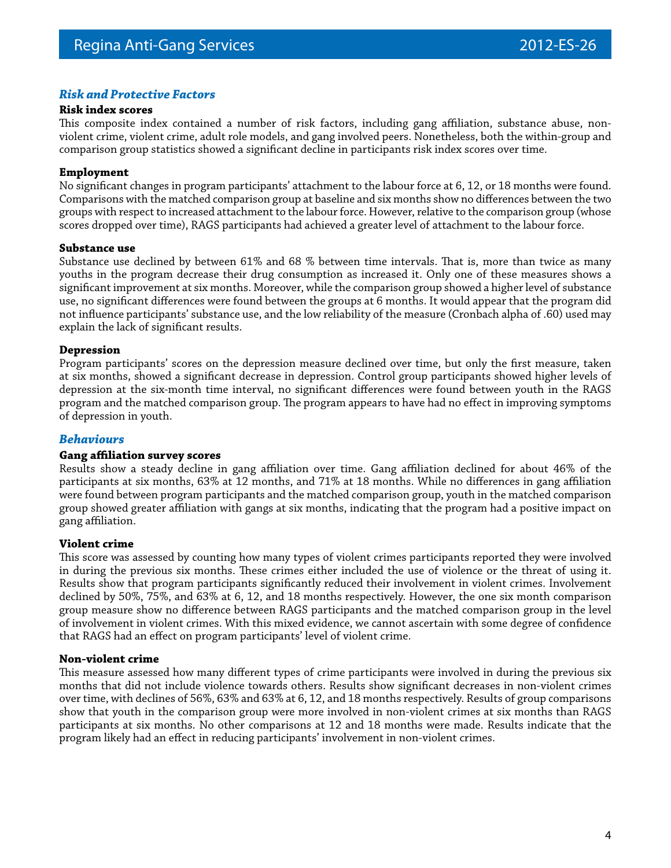### *Risk and Protective Factors*

#### **Risk index scores**

This composite index contained a number of risk factors, including gang affiliation, substance abuse, nonviolent crime, violent crime, adult role models, and gang involved peers. Nonetheless, both the within-group and comparison group statistics showed a significant decline in participants risk index scores over time.

### **Employment**

No significant changes in program participants' attachment to the labour force at 6, 12, or 18 months were found. Comparisons with the matched comparison group at baseline and six months show no differences between the two groups with respect to increased attachment to the labour force. However, relative to the comparison group (whose scores dropped over time), RAGS participants had achieved a greater level of attachment to the labour force.

#### **Substance use**

Substance use declined by between 61% and 68 % between time intervals. That is, more than twice as many youths in the program decrease their drug consumption as increased it. Only one of these measures shows a significant improvement at six months. Moreover, while the comparison group showed a higher level of substance use, no significant differences were found between the groups at 6 months. It would appear that the program did not influence participants' substance use, and the low reliability of the measure (Cronbach alpha of .60) used may explain the lack of significant results.

### **Depression**

Program participants' scores on the depression measure declined over time, but only the first measure, taken at six months, showed a significant decrease in depression. Control group participants showed higher levels of depression at the six-month time interval, no significant differences were found between youth in the RAGS program and the matched comparison group. The program appears to have had no effect in improving symptoms of depression in youth.

### *Behaviours*

### **Gang affiliation survey scores**

Results show a steady decline in gang affiliation over time. Gang affiliation declined for about 46% of the participants at six months, 63% at 12 months, and 71% at 18 months. While no differences in gang affiliation were found between program participants and the matched comparison group, youth in the matched comparison group showed greater affiliation with gangs at six months, indicating that the program had a positive impact on gang affiliation.

### **Violent crime**

This score was assessed by counting how many types of violent crimes participants reported they were involved in during the previous six months. These crimes either included the use of violence or the threat of using it. Results show that program participants significantly reduced their involvement in violent crimes. Involvement declined by 50%, 75%, and 63% at 6, 12, and 18 months respectively. However, the one six month comparison group measure show no difference between RAGS participants and the matched comparison group in the level of involvement in violent crimes. With this mixed evidence, we cannot ascertain with some degree of confidence that RAGS had an effect on program participants' level of violent crime.

### **Non-violent crime**

This measure assessed how many different types of crime participants were involved in during the previous six months that did not include violence towards others. Results show significant decreases in non-violent crimes over time, with declines of 56%, 63% and 63% at 6, 12, and 18 months respectively. Results of group comparisons show that youth in the comparison group were more involved in non-violent crimes at six months than RAGS participants at six months. No other comparisons at 12 and 18 months were made. Results indicate that the program likely had an effect in reducing participants' involvement in non-violent crimes.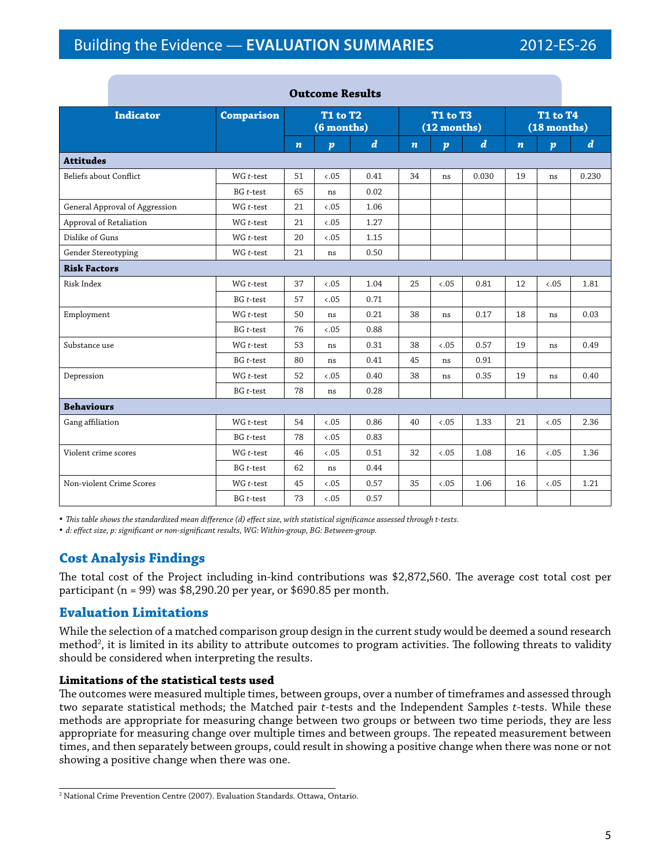| Outcome results                |                             |                               |                  |                  |                                |                  |                  |                                |                  |                  |
|--------------------------------|-----------------------------|-------------------------------|------------------|------------------|--------------------------------|------------------|------------------|--------------------------------|------------------|------------------|
| <b>Indicator</b>               | <b>Comparison</b>           | <b>T1 to T2</b><br>(6 months) |                  |                  | <b>T1 to T3</b><br>(12 months) |                  |                  | <b>T1 to T4</b><br>(18 months) |                  |                  |
|                                |                             | $\boldsymbol{n}$              | $\boldsymbol{p}$ | $\boldsymbol{d}$ | $\boldsymbol{n}$               | $\boldsymbol{p}$ | $\boldsymbol{d}$ | $\boldsymbol{n}$               | $\boldsymbol{p}$ | $\boldsymbol{d}$ |
| <b>Attitudes</b>               |                             |                               |                  |                  |                                |                  |                  |                                |                  |                  |
| Beliefs about Conflict         | WG t-test                   | 51                            | $-.05$           | 0.41             | 34                             | ns               | 0.030            | 19                             | ns               | 0.230            |
|                                | $BG$ t-test                 | 65                            | ns               | 0.02             |                                |                  |                  |                                |                  |                  |
| General Approval of Aggression | $\mathsf{WG}\xspace$ t-test | 21                            | 5.05             | 1.06             |                                |                  |                  |                                |                  |                  |
| Approval of Retaliation        | $WG$ t-test                 | 21                            | 0.05             | 1.27             |                                |                  |                  |                                |                  |                  |
| Dislike of Guns                | $WG$ t-test                 | 20                            | 5.05             | 1.15             |                                |                  |                  |                                |                  |                  |
| Gender Stereotyping            | $WG$ t-test                 | 21                            | ns               | 0.50             |                                |                  |                  |                                |                  |                  |
| <b>Risk Factors</b>            |                             |                               |                  |                  |                                |                  |                  |                                |                  |                  |
| Risk Index                     | $WG$ t-test                 | 37                            | 0.05             | 1.04             | 25                             | $-.05$           | 0.81             | 12                             | 0.05             | 1.81             |
|                                | $BG$ t-test                 | 57                            | 0.05             | 0.71             |                                |                  |                  |                                |                  |                  |
| Employment                     | $WG$ t-test                 | 50                            | ns               | 0.21             | 38                             | ns               | 0.17             | 18                             | ns               | 0.03             |
|                                | BG t-test                   | 76                            | 5.05             | 0.88             |                                |                  |                  |                                |                  |                  |
| Substance use                  | WG t-test                   | 53                            | ns               | 0.31             | 38                             | 0.05             | 0.57             | 19                             | ns               | 0.49             |
|                                | $BG$ t-test                 | 80                            | ns               | 0.41             | 45                             | ns               | 0.91             |                                |                  |                  |
| Depression                     | WG t-test                   | 52                            | 5.05             | 0.40             | 38                             | ns               | 0.35             | 19                             | ns               | 0.40             |
|                                | $BG$ t-test                 | 78                            | ns               | 0.28             |                                |                  |                  |                                |                  |                  |
| <b>Behaviours</b>              |                             |                               |                  |                  |                                |                  |                  |                                |                  |                  |
| Gang affiliation               | $WG$ t-test                 | 54                            | 0.05             | 0.86             | 40                             | $-.05$           | 1.33             | 21                             | $-.05$           | 2.36             |
|                                | $BG$ t-test                 | 78                            | 0.05             | 0.83             |                                |                  |                  |                                |                  |                  |
| Violent crime scores           | $WG$ t-test                 | 46                            | $-.05$           | 0.51             | 32                             | $-.05$           | 1.08             | 16                             | $-.05$           | 1.36             |
|                                | $BG$ t-test                 | 62                            | ns               | 0.44             |                                |                  |                  |                                |                  |                  |
| Non-violent Crime Scores       | WG t-test                   | 45                            | 0.05             | 0.57             | 35                             | 5.05             | 1.06             | 16                             | 5.05             | 1.21             |
|                                | $BG$ t-test                 | 73                            | 0.05             | 0.57             |                                |                  |                  |                                |                  |                  |

**Outcome Results** 

• This table shows the standardized mean difference (d) effect size, with statistical significance assessed through t-tests.

*• d: effect size, p: significant or non-significant results, WG: Within-group, BG: Between-group.*

### **Cost Analysis Findings**

The total cost of the Project including in-kind contributions was \$2,872,560. The average cost total cost per participant (n = 99) was \$8,290.20 per year, or \$690.85 per month.

### **Evaluation Limitations**

While the selection of a matched comparison group design in the current study would be deemed a sound research method<sup>2</sup>, it is limited in its ability to attribute outcomes to program activities. The following threats to validity should be considered when interpreting the results.

### **Limitations of the statistical tests used**

The outcomes were measured multiple times, between groups, over a number of timeframes and assessed through two separate statistical methods; the Matched pair *t*-tests and the Independent Samples *t*-tests. While these methods are appropriate for measuring change between two groups or between two time periods, they are less appropriate for measuring change over multiple times and between groups. The repeated measurement between times, and then separately between groups, could result in showing a positive change when there was none or not showing a positive change when there was one.

<sup>2</sup> National Crime Prevention Centre (2007). Evaluation Standards. Ottawa, Ontario.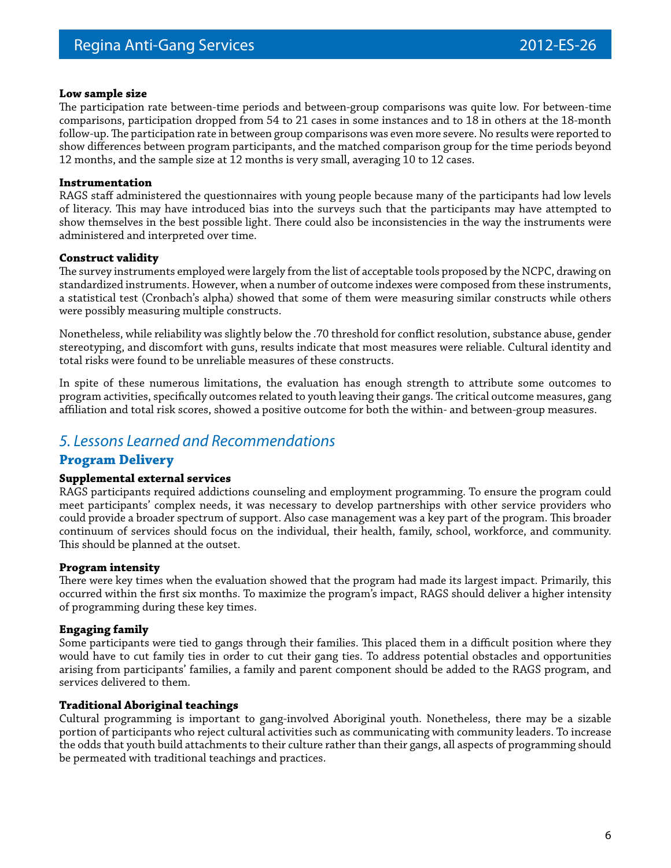### **Low sample size**

The participation rate between-time periods and between-group comparisons was quite low. For between-time comparisons, participation dropped from 54 to 21 cases in some instances and to 18 in others at the 18-month follow-up. The participation rate in between group comparisons was even more severe. No results were reported to show differences between program participants, and the matched comparison group for the time periods beyond 12 months, and the sample size at 12 months is very small, averaging 10 to 12 cases.

### **Instrumentation**

RAGS staff administered the questionnaires with young people because many of the participants had low levels of literacy. This may have introduced bias into the surveys such that the participants may have attempted to show themselves in the best possible light. There could also be inconsistencies in the way the instruments were administered and interpreted over time.

### **Construct validity**

The survey instruments employed were largely from the list of acceptable tools proposed by the NCPC, drawing on standardized instruments. However, when a number of outcome indexes were composed from these instruments, a statistical test (Cronbach's alpha) showed that some of them were measuring similar constructs while others were possibly measuring multiple constructs.

Nonetheless, while reliability was slightly below the .70 threshold for conflict resolution, substance abuse, gender stereotyping, and discomfort with guns, results indicate that most measures were reliable. Cultural identity and total risks were found to be unreliable measures of these constructs.

In spite of these numerous limitations, the evaluation has enough strength to attribute some outcomes to program activities, specifically outcomes related to youth leaving their gangs. The critical outcome measures, gang affiliation and total risk scores, showed a positive outcome for both the within- and between-group measures.

### *5. Lessons Learned and Recommendations*

### **Program Delivery**

### **Supplemental external services**

RAGS participants required addictions counseling and employment programming. To ensure the program could meet participants' complex needs, it was necessary to develop partnerships with other service providers who could provide a broader spectrum of support. Also case management was a key part of the program. This broader continuum of services should focus on the individual, their health, family, school, workforce, and community. This should be planned at the outset.

### **Program intensity**

There were key times when the evaluation showed that the program had made its largest impact. Primarily, this occurred within the first six months. To maximize the program's impact, RAGS should deliver a higher intensity of programming during these key times.

### **Engaging family**

Some participants were tied to gangs through their families. This placed them in a difficult position where they would have to cut family ties in order to cut their gang ties. To address potential obstacles and opportunities arising from participants' families, a family and parent component should be added to the RAGS program, and services delivered to them.

### **Traditional Aboriginal teachings**

Cultural programming is important to gang-involved Aboriginal youth. Nonetheless, there may be a sizable portion of participants who reject cultural activities such as communicating with community leaders. To increase the odds that youth build attachments to their culture rather than their gangs, all aspects of programming should be permeated with traditional teachings and practices.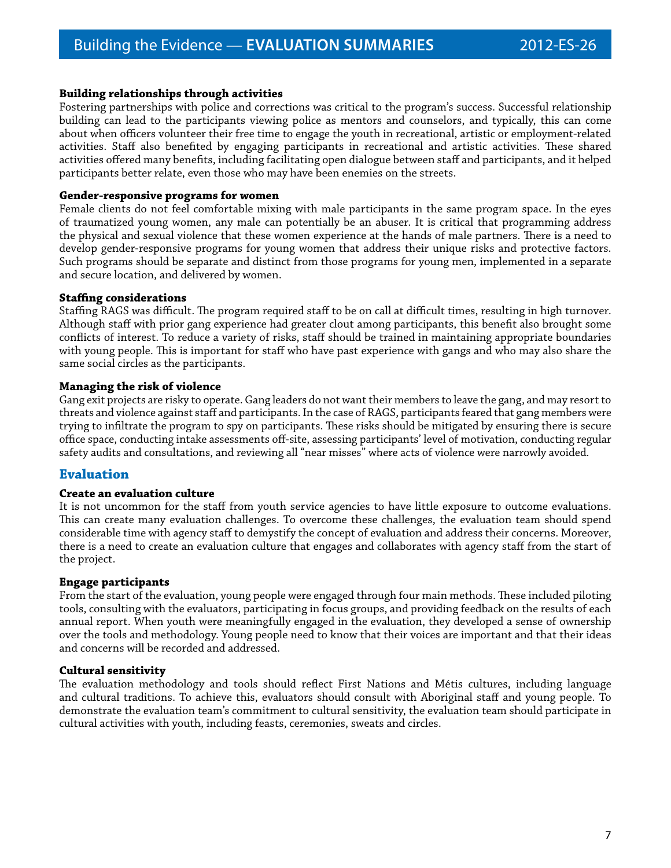### **Building relationships through activities**

Fostering partnerships with police and corrections was critical to the program's success. Successful relationship building can lead to the participants viewing police as mentors and counselors, and typically, this can come about when officers volunteer their free time to engage the youth in recreational, artistic or employment-related activities. Staff also benefited by engaging participants in recreational and artistic activities. These shared activities offered many benefits, including facilitating open dialogue between staff and participants, and it helped participants better relate, even those who may have been enemies on the streets.

### **Gender-responsive programs for women**

Female clients do not feel comfortable mixing with male participants in the same program space. In the eyes of traumatized young women, any male can potentially be an abuser. It is critical that programming address the physical and sexual violence that these women experience at the hands of male partners. There is a need to develop gender-responsive programs for young women that address their unique risks and protective factors. Such programs should be separate and distinct from those programs for young men, implemented in a separate and secure location, and delivered by women.

### **Staffing considerations**

Staffing RAGS was difficult. The program required staff to be on call at difficult times, resulting in high turnover. Although staff with prior gang experience had greater clout among participants, this benefit also brought some conflicts of interest. To reduce a variety of risks, staff should be trained in maintaining appropriate boundaries with young people. This is important for staff who have past experience with gangs and who may also share the same social circles as the participants.

### **Managing the risk of violence**

Gang exit projects are risky to operate. Gang leaders do not want their members to leave the gang, and may resort to threats and violence against staff and participants. In the case of RAGS, participants feared that gang members were trying to infiltrate the program to spy on participants. These risks should be mitigated by ensuring there is secure office space, conducting intake assessments off-site, assessing participants' level of motivation, conducting regular safety audits and consultations, and reviewing all "near misses" where acts of violence were narrowly avoided.

### **Evaluation**

### **Create an evaluation culture**

It is not uncommon for the staff from youth service agencies to have little exposure to outcome evaluations. This can create many evaluation challenges. To overcome these challenges, the evaluation team should spend considerable time with agency staff to demystify the concept of evaluation and address their concerns. Moreover, there is a need to create an evaluation culture that engages and collaborates with agency staff from the start of the project.

### **Engage participants**

From the start of the evaluation, young people were engaged through four main methods. These included piloting tools, consulting with the evaluators, participating in focus groups, and providing feedback on the results of each annual report. When youth were meaningfully engaged in the evaluation, they developed a sense of ownership over the tools and methodology. Young people need to know that their voices are important and that their ideas and concerns will be recorded and addressed.

### **Cultural sensitivity**

The evaluation methodology and tools should reflect First Nations and Métis cultures, including language and cultural traditions. To achieve this, evaluators should consult with Aboriginal staff and young people. To demonstrate the evaluation team's commitment to cultural sensitivity, the evaluation team should participate in cultural activities with youth, including feasts, ceremonies, sweats and circles.